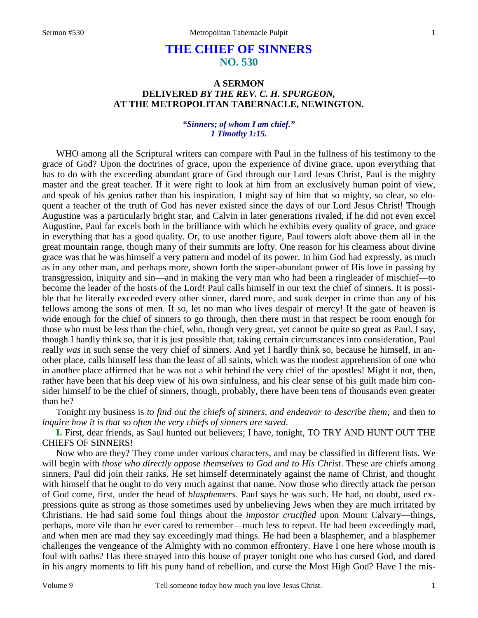# **THE CHIEF OF SINNERS NO. 530**

# **A SERMON DELIVERED** *BY THE REV. C. H. SPURGEON,*  **AT THE METROPOLITAN TABERNACLE, NEWINGTON.**

### *"Sinners; of whom I am chief." 1 Timothy 1:15.*

WHO among all the Scriptural writers can compare with Paul in the fullness of his testimony to the grace of God? Upon the doctrines of grace, upon the experience of divine grace, upon everything that has to do with the exceeding abundant grace of God through our Lord Jesus Christ, Paul is the mighty master and the great teacher. If it were right to look at him from an exclusively human point of view, and speak of his genius rather than his inspiration, I might say of him that so mighty, so clear, so eloquent a teacher of the truth of God has never existed since the days of our Lord Jesus Christ! Though Augustine was a particularly bright star, and Calvin in later generations rivaled, if he did not even excel Augustine, Paul far excels both in the brilliance with which he exhibits every quality of grace, and grace in everything that has a good quality. Or, to use another figure, Paul towers aloft above them all in the great mountain range, though many of their summits are lofty. One reason for his clearness about divine grace was that he was himself a very pattern and model of its power. In him God had expressly, as much as in any other man, and perhaps more, shown forth the super-abundant power of His love in passing by transgression, iniquity and sin—and in making the very man who had been a ringleader of mischief—to become the leader of the hosts of the Lord! Paul calls himself in our text the chief of sinners. It is possible that he literally exceeded every other sinner, dared more, and sunk deeper in crime than any of his fellows among the sons of men. If so, let no man who lives despair of mercy! If the gate of heaven is wide enough for the chief of sinners to go through, then there must in that respect be room enough for those who must be less than the chief, who, though very great, yet cannot be quite so great as Paul. I say, though I hardly think so, that it is just possible that, taking certain circumstances into consideration, Paul really *was* in such sense the very chief of sinners. And yet I hardly think so, because he himself, in another place, calls himself less than the least of all saints, which was the modest apprehension of one who in another place affirmed that he was not a whit behind the very chief of the apostles! Might it not, then, rather have been that his deep view of his own sinfulness, and his clear sense of his guilt made him consider himself to be the chief of sinners, though, probably, there have been tens of thousands even greater than he?

Tonight my business is *to find out the chiefs of sinners, and endeavor to describe them;* and then *to inquire how it is that so often the very chiefs of sinners are saved*.

**I.** First, dear friends, as Saul hunted out believers; I have, tonight, TO TRY AND HUNT OUT THE CHIEFS OF SINNERS!

Now who are they? They come under various characters, and may be classified in different lists. We will begin with *those who directly oppose themselves to God and to His Christ*. These are chiefs among sinners. Paul did join their ranks. He set himself determinately against the name of Christ, and thought with himself that he ought to do very much against that name. Now those who directly attack the person of God come, first, under the head of *blasphemers*. Paul says he was such. He had, no doubt, used expressions quite as strong as those sometimes used by unbelieving Jews when they are much irritated by Christians. He had said some foul things about the *impostor crucified* upon Mount Calvary—things, perhaps, more vile than he ever cared to remember—much less to repeat. He had been exceedingly mad, and when men are mad they say exceedingly mad things. He had been a blasphemer, and a blasphemer challenges the vengeance of the Almighty with no common effrontery. Have I one here whose mouth is foul with oaths? Has there strayed into this house of prayer tonight one who has cursed God, and dared in his angry moments to lift his puny hand of rebellion, and curse the Most High God? Have I the mis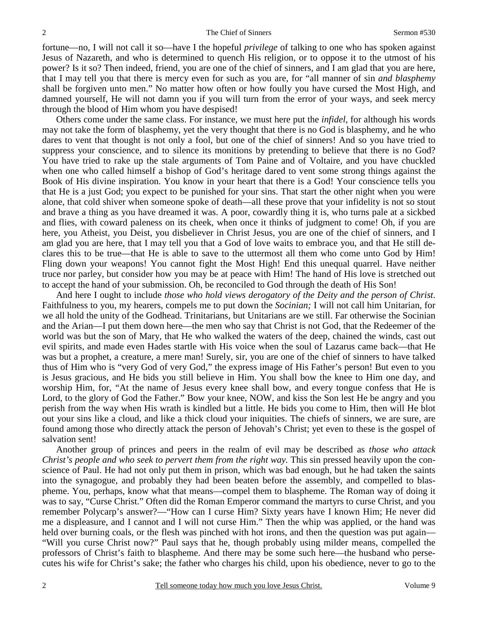fortune—no, I will not call it so—have I the hopeful *privilege* of talking to one who has spoken against Jesus of Nazareth, and who is determined to quench His religion, or to oppose it to the utmost of his power? Is it so? Then indeed, friend, you are one of the chief of sinners, and I am glad that you are here, that I may tell you that there is mercy even for such as you are, for "all manner of sin *and blasphemy*  shall be forgiven unto men." No matter how often or how foully you have cursed the Most High, and damned yourself, He will not damn you if you will turn from the error of your ways, and seek mercy through the blood of Him whom you have despised!

Others come under the same class. For instance, we must here put the *infidel,* for although his words may not take the form of blasphemy, yet the very thought that there is no God is blasphemy, and he who dares to vent that thought is not only a fool, but one of the chief of sinners! And so you have tried to suppress your conscience, and to silence its monitions by pretending to believe that there is no God? You have tried to rake up the stale arguments of Tom Paine and of Voltaire, and you have chuckled when one who called himself a bishop of God's heritage dared to vent some strong things against the Book of His divine inspiration. You know in your heart that there is a God! Your conscience tells you that He is a just God; you expect to be punished for your sins. That start the other night when you were alone, that cold shiver when someone spoke of death—all these prove that your infidelity is not so stout and brave a thing as you have dreamed it was. A poor, cowardly thing it is, who turns pale at a sickbed and flies, with coward paleness on its cheek, when once it thinks of judgment to come! Oh, if you are here, you Atheist, you Deist, you disbeliever in Christ Jesus, you are one of the chief of sinners, and I am glad you are here, that I may tell you that a God of love waits to embrace you, and that He still declares this to be true—that He is able to save to the uttermost all them who come unto God by Him! Fling down your weapons! You cannot fight the Most High! End this unequal quarrel. Have neither truce nor parley, but consider how you may be at peace with Him! The hand of His love is stretched out to accept the hand of your submission. Oh, be reconciled to God through the death of His Son!

And here I ought to include *those who hold views derogatory of the Deity and the person of Christ*. Faithfulness to you, my hearers, compels me to put down the *Socinian;* I will not call him Unitarian, for we all hold the unity of the Godhead. Trinitarians, but Unitarians are we still. Far otherwise the Socinian and the Arian—I put them down here—the men who say that Christ is not God, that the Redeemer of the world was but the son of Mary, that He who walked the waters of the deep, chained the winds, cast out evil spirits, and made even Hades startle with His voice when the soul of Lazarus came back—that He was but a prophet, a creature, a mere man! Surely, sir, you are one of the chief of sinners to have talked thus of Him who is "very God of very God," the express image of His Father's person! But even to you is Jesus gracious, and He bids you still believe in Him. You shall bow the knee to Him one day, and worship Him, for, "At the name of Jesus every knee shall bow, and every tongue confess that He is Lord, to the glory of God the Father." Bow your knee, NOW, and kiss the Son lest He be angry and you perish from the way when His wrath is kindled but a little. He bids you come to Him, then will He blot out your sins like a cloud, and like a thick cloud your iniquities. The chiefs of sinners, we are sure, are found among those who directly attack the person of Jehovah's Christ; yet even to these is the gospel of salvation sent!

Another group of princes and peers in the realm of evil may be described as *those who attack Christ's people and who seek to pervert them from the right way.* This sin pressed heavily upon the conscience of Paul. He had not only put them in prison, which was bad enough, but he had taken the saints into the synagogue, and probably they had been beaten before the assembly, and compelled to blaspheme. You, perhaps, know what that means—compel them to blaspheme. The Roman way of doing it was to say, "Curse Christ." Often did the Roman Emperor command the martyrs to curse Christ, and you remember Polycarp's answer?—"How can I curse Him? Sixty years have I known Him; He never did me a displeasure, and I cannot and I will not curse Him." Then the whip was applied, or the hand was held over burning coals, or the flesh was pinched with hot irons, and then the question was put again— "Will you curse Christ now?" Paul says that he, though probably using milder means, compelled the professors of Christ's faith to blaspheme. And there may be some such here—the husband who persecutes his wife for Christ's sake; the father who charges his child, upon his obedience, never to go to the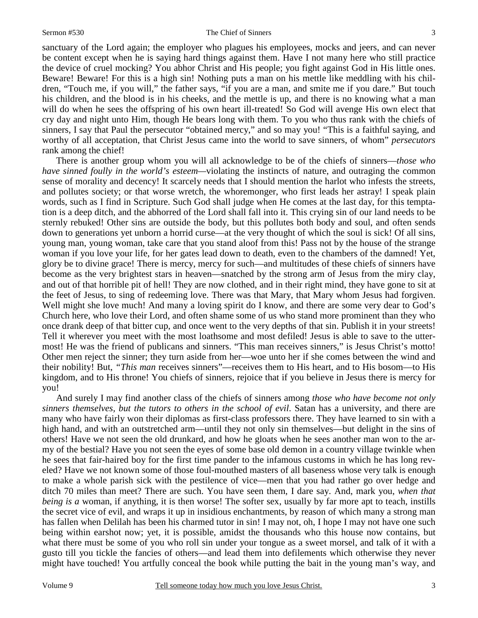#### Sermon #530 The Chief of Sinners

sanctuary of the Lord again; the employer who plagues his employees, mocks and jeers, and can never be content except when he is saying hard things against them. Have I not many here who still practice the device of cruel mocking? You abhor Christ and His people; you fight against God in His little ones. Beware! Beware! For this is a high sin! Nothing puts a man on his mettle like meddling with his children, "Touch me, if you will," the father says, "if you are a man, and smite me if you dare." But touch his children, and the blood is in his cheeks, and the mettle is up, and there is no knowing what a man will do when he sees the offspring of his own heart ill-treated! So God will avenge His own elect that cry day and night unto Him, though He bears long with them. To you who thus rank with the chiefs of sinners, I say that Paul the persecutor "obtained mercy," and so may you! "This is a faithful saying, and worthy of all acceptation, that Christ Jesus came into the world to save sinners, of whom" *persecutors* rank among the chief!

There is another group whom you will all acknowledge to be of the chiefs of sinners—*those who have sinned foully in the world's esteem—violating the instincts of nature, and outraging the common* sense of morality and decency! It scarcely needs that I should mention the harlot who infests the streets, and pollutes society; or that worse wretch, the whoremonger, who first leads her astray! I speak plain words, such as I find in Scripture. Such God shall judge when He comes at the last day, for this temptation is a deep ditch, and the abhorred of the Lord shall fall into it. This crying sin of our land needs to be sternly rebuked! Other sins are outside the body, but this pollutes both body and soul, and often sends down to generations yet unborn a horrid curse—at the very thought of which the soul is sick! Of all sins, young man, young woman, take care that you stand aloof from this! Pass not by the house of the strange woman if you love your life, for her gates lead down to death, even to the chambers of the damned! Yet, glory be to divine grace! There is mercy, mercy for such—and multitudes of these chiefs of sinners have become as the very brightest stars in heaven—snatched by the strong arm of Jesus from the miry clay, and out of that horrible pit of hell! They are now clothed, and in their right mind, they have gone to sit at the feet of Jesus, to sing of redeeming love. There was that Mary, that Mary whom Jesus had forgiven. Well might she love much! And many a loving spirit do I know, and there are some very dear to God's Church here, who love their Lord, and often shame some of us who stand more prominent than they who once drank deep of that bitter cup, and once went to the very depths of that sin. Publish it in your streets! Tell it wherever you meet with the most loathsome and most defiled! Jesus is able to save to the uttermost! He was the friend of publicans and sinners. "This man receives sinners," is Jesus Christ's motto! Other men reject the sinner; they turn aside from her—woe unto her if she comes between the wind and their nobility! But, *"This man* receives sinners"—receives them to His heart, and to His bosom—to His kingdom, and to His throne! You chiefs of sinners, rejoice that if you believe in Jesus there is mercy for you!

And surely I may find another class of the chiefs of sinners among *those who have become not only sinners themselves, but the tutors to others in the school of evil*. Satan has a university, and there are many who have fairly won their diplomas as first-class professors there. They have learned to sin with a high hand, and with an outstretched arm—until they not only sin themselves—but delight in the sins of others! Have we not seen the old drunkard, and how he gloats when he sees another man won to the army of the bestial? Have you not seen the eyes of some base old demon in a country village twinkle when he sees that fair-haired boy for the first time pander to the infamous customs in which he has long reveled? Have we not known some of those foul-mouthed masters of all baseness whose very talk is enough to make a whole parish sick with the pestilence of vice—men that you had rather go over hedge and ditch 70 miles than meet? There are such. You have seen them, I dare say. And, mark you, *when that being is a woman, if anything, it is then worse! The softer sex, usually by far more apt to teach, instills* the secret vice of evil, and wraps it up in insidious enchantments, by reason of which many a strong man has fallen when Delilah has been his charmed tutor in sin! I may not, oh, I hope I may not have one such being within earshot now; yet, it is possible, amidst the thousands who this house now contains, but what there must be some of you who roll sin under your tongue as a sweet morsel, and talk of it with a gusto till you tickle the fancies of others—and lead them into defilements which otherwise they never might have touched! You artfully conceal the book while putting the bait in the young man's way, and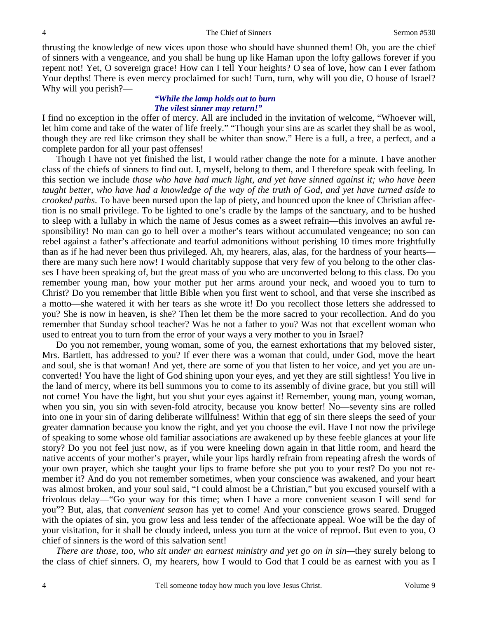thrusting the knowledge of new vices upon those who should have shunned them! Oh, you are the chief of sinners with a vengeance, and you shall be hung up like Haman upon the lofty gallows forever if you repent not! Yet, O sovereign grace! How can I tell Your heights? O sea of love, how can I ever fathom Your depths! There is even mercy proclaimed for such! Turn, turn, why will you die, O house of Israel? Why will you perish?—

### *"While the lamp holds out to burn The vilest sinner may return!"*

I find no exception in the offer of mercy. All are included in the invitation of welcome, "Whoever will, let him come and take of the water of life freely." "Though your sins are as scarlet they shall be as wool, though they are red like crimson they shall be whiter than snow." Here is a full, a free, a perfect, and a complete pardon for all your past offenses!

Though I have not yet finished the list, I would rather change the note for a minute. I have another class of the chiefs of sinners to find out. I, myself, belong to them, and I therefore speak with feeling. In this section we include *those who have had much light, and yet have sinned against it; who have been taught better, who have had a knowledge of the way of the truth of God, and yet have turned aside to crooked paths*. To have been nursed upon the lap of piety, and bounced upon the knee of Christian affection is no small privilege. To be lighted to one's cradle by the lamps of the sanctuary, and to be hushed to sleep with a lullaby in which the name of Jesus comes as a sweet refrain—this involves an awful responsibility! No man can go to hell over a mother's tears without accumulated vengeance; no son can rebel against a father's affectionate and tearful admonitions without perishing 10 times more frightfully than as if he had never been thus privileged. Ah, my hearers, alas, alas, for the hardness of your hearts there are many such here now! I would charitably suppose that very few of you belong to the other classes I have been speaking of, but the great mass of you who are unconverted belong to this class. Do you remember young man, how your mother put her arms around your neck, and wooed you to turn to Christ? Do you remember that little Bible when you first went to school, and that verse she inscribed as a motto—she watered it with her tears as she wrote it! Do you recollect those letters she addressed to you? She is now in heaven, is she? Then let them be the more sacred to your recollection. And do you remember that Sunday school teacher? Was he not a father to you? Was not that excellent woman who used to entreat you to turn from the error of your ways a very mother to you in Israel?

Do you not remember, young woman, some of you, the earnest exhortations that my beloved sister, Mrs. Bartlett, has addressed to you? If ever there was a woman that could, under God, move the heart and soul, she is that woman! And yet, there are some of you that listen to her voice, and yet you are unconverted! You have the light of God shining upon your eyes, and yet they are still sightless! You live in the land of mercy, where its bell summons you to come to its assembly of divine grace, but you still will not come! You have the light, but you shut your eyes against it! Remember, young man, young woman, when you sin, you sin with seven-fold atrocity, because you know better! No—seventy sins are rolled into one in your sin of daring deliberate willfulness! Within that egg of sin there sleeps the seed of your greater damnation because you know the right, and yet you choose the evil. Have I not now the privilege of speaking to some whose old familiar associations are awakened up by these feeble glances at your life story? Do you not feel just now, as if you were kneeling down again in that little room, and heard the native accents of your mother's prayer, while your lips hardly refrain from repeating afresh the words of your own prayer, which she taught your lips to frame before she put you to your rest? Do you not remember it? And do you not remember sometimes, when your conscience was awakened, and your heart was almost broken, and your soul said, "I could almost be a Christian," but you excused yourself with a frivolous delay—"Go your way for this time; when I have a more convenient season I will send for you"? But, alas, that *convenient season* has yet to come! And your conscience grows seared. Drugged with the opiates of sin, you grow less and less tender of the affectionate appeal. Woe will be the day of your visitation, for it shall be cloudy indeed, unless you turn at the voice of reproof. But even to you, O chief of sinners is the word of this salvation sent!

*There are those, too, who sit under an earnest ministry and yet go on in sin—*they surely belong to the class of chief sinners. O, my hearers, how I would to God that I could be as earnest with you as I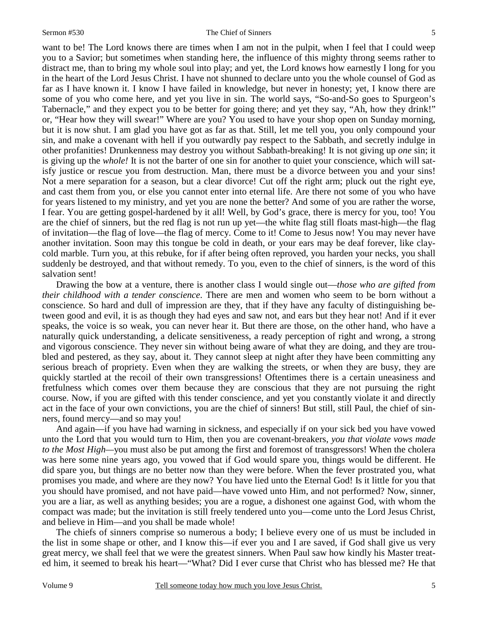want to be! The Lord knows there are times when I am not in the pulpit, when I feel that I could weep you to a Savior; but sometimes when standing here, the influence of this mighty throng seems rather to distract me, than to bring my whole soul into play; and yet, the Lord knows how earnestly I long for you in the heart of the Lord Jesus Christ. I have not shunned to declare unto you the whole counsel of God as far as I have known it. I know I have failed in knowledge, but never in honesty; yet, I know there are some of you who come here, and yet you live in sin. The world says, "So-and-So goes to Spurgeon's Tabernacle," and they expect you to be better for going there; and yet they say, "Ah, how they drink!" or, "Hear how they will swear!" Where are you? You used to have your shop open on Sunday morning, but it is now shut. I am glad you have got as far as that. Still, let me tell you, you only compound your sin, and make a covenant with hell if you outwardly pay respect to the Sabbath, and secretly indulge in other profanities! Drunkenness may destroy you without Sabbath-breaking! It is not giving up *one* sin; it is giving up the *whole!* It is not the barter of one sin for another to quiet your conscience, which will satisfy justice or rescue you from destruction. Man, there must be a divorce between you and your sins! Not a mere separation for a season, but a clear divorce! Cut off the right arm; pluck out the right eye, and cast them from you, or else you cannot enter into eternal life. Are there not some of you who have for years listened to my ministry, and yet you are none the better? And some of you are rather the worse, I fear. You are getting gospel-hardened by it all! Well, by God's grace, there is mercy for you, too! You are the chief of sinners, but the red flag is not run up yet—the white flag still floats mast-high—the flag of invitation—the flag of love—the flag of mercy. Come to it! Come to Jesus now! You may never have another invitation. Soon may this tongue be cold in death, or your ears may be deaf forever, like claycold marble. Turn you, at this rebuke, for if after being often reproved, you harden your necks, you shall suddenly be destroyed, and that without remedy. To you, even to the chief of sinners, is the word of this salvation sent!

Drawing the bow at a venture, there is another class I would single out—*those who are gifted from their childhood with a tender conscience*. There are men and women who seem to be born without a conscience. So hard and dull of impression are they, that if they have any faculty of distinguishing between good and evil, it is as though they had eyes and saw not, and ears but they hear not! And if it ever speaks, the voice is so weak, you can never hear it. But there are those, on the other hand, who have a naturally quick understanding, a delicate sensitiveness, a ready perception of right and wrong, a strong and vigorous conscience. They never sin without being aware of what they are doing, and they are troubled and pestered, as they say, about it. They cannot sleep at night after they have been committing any serious breach of propriety. Even when they are walking the streets, or when they are busy, they are quickly startled at the recoil of their own transgressions! Oftentimes there is a certain uneasiness and fretfulness which comes over them because they are conscious that they are not pursuing the right course. Now, if you are gifted with this tender conscience, and yet you constantly violate it and directly act in the face of your own convictions, you are the chief of sinners! But still, still Paul, the chief of sinners, found mercy—and so may you!

And again—if you have had warning in sickness, and especially if on your sick bed you have vowed unto the Lord that you would turn to Him, then you are covenant-breakers, *you that violate vows made to the Most High—*you must also be put among the first and foremost of transgressors! When the cholera was here some nine years ago, you vowed that if God would spare you, things would be different. He did spare you, but things are no better now than they were before. When the fever prostrated you, what promises you made, and where are they now? You have lied unto the Eternal God! Is it little for you that you should have promised, and not have paid—have vowed unto Him, and not performed? Now, sinner, you are a liar, as well as anything besides; you are a rogue, a dishonest one against God, with whom the compact was made; but the invitation is still freely tendered unto you—come unto the Lord Jesus Christ, and believe in Him—and you shall be made whole!

The chiefs of sinners comprise so numerous a body; I believe every one of us must be included in the list in some shape or other, and I know this—if ever you and I are saved, if God shall give us very great mercy, we shall feel that we were the greatest sinners. When Paul saw how kindly his Master treated him, it seemed to break his heart—"What? Did I ever curse that Christ who has blessed me? He that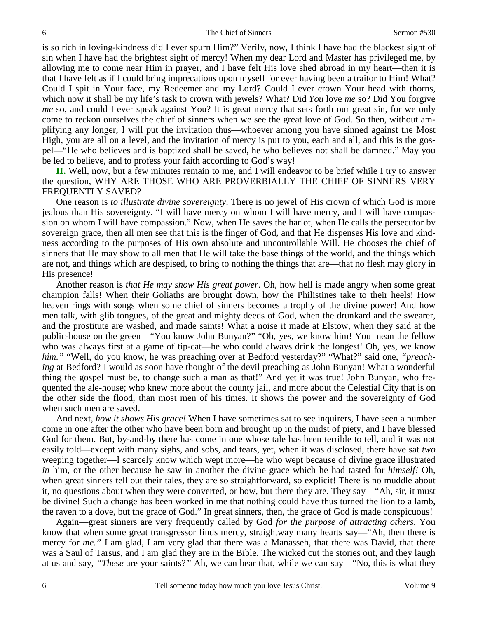is so rich in loving-kindness did I ever spurn Him?" Verily, now, I think I have had the blackest sight of sin when I have had the brightest sight of mercy! When my dear Lord and Master has privileged me, by allowing me to come near Him in prayer, and I have felt His love shed abroad in my heart—then it is that I have felt as if I could bring imprecations upon myself for ever having been a traitor to Him! What? Could I spit in Your face, my Redeemer and my Lord? Could I ever crown Your head with thorns, which now it shall be my life's task to crown with jewels? What? Did *You* love *me* so? Did You forgive *me* so, and could I ever speak against You? It is great mercy that sets forth our great sin, for we only come to reckon ourselves the chief of sinners when we see the great love of God. So then, without amplifying any longer, I will put the invitation thus—whoever among you have sinned against the Most High, you are all on a level, and the invitation of mercy is put to you, each and all, and this is the gospel—"He who believes and is baptized shall be saved, he who believes not shall be damned." May you be led to believe, and to profess your faith according to God's way!

**II.** Well, now, but a few minutes remain to me, and I will endeavor to be brief while I try to answer the question, WHY ARE THOSE WHO ARE PROVERBIALLY THE CHIEF OF SINNERS VERY FREQUENTLY SAVED?

One reason is *to illustrate divine sovereignty*. There is no jewel of His crown of which God is more jealous than His sovereignty. "I will have mercy on whom I will have mercy, and I will have compassion on whom I will have compassion." Now, when He saves the harlot, when He calls the persecutor by sovereign grace, then all men see that this is the finger of God, and that He dispenses His love and kindness according to the purposes of His own absolute and uncontrollable Will. He chooses the chief of sinners that He may show to all men that He will take the base things of the world, and the things which are not, and things which are despised, to bring to nothing the things that are—that no flesh may glory in His presence!

Another reason is *that He may show His great power*. Oh, how hell is made angry when some great champion falls! When their Goliaths are brought down, how the Philistines take to their heels! How heaven rings with songs when some chief of sinners becomes a trophy of the divine power! And how men talk, with glib tongues, of the great and mighty deeds of God, when the drunkard and the swearer, and the prostitute are washed, and made saints! What a noise it made at Elstow, when they said at the public-house on the green—"You know John Bunyan?" "Oh, yes, we know him! You mean the fellow who was always first at a game of tip-cat—he who could always drink the longest! Oh, yes, we know him." "Well, do you know, he was preaching over at Bedford yesterday?" "What?" said one, "*preaching* at Bedford? I would as soon have thought of the devil preaching as John Bunyan! What a wonderful thing the gospel must be, to change such a man as that!" And yet it was true! John Bunyan, who frequented the ale-house; who knew more about the county jail, and more about the Celestial City that is on the other side the flood, than most men of his times. It shows the power and the sovereignty of God when such men are saved.

And next, *how it shows His grace!* When I have sometimes sat to see inquirers, I have seen a number come in one after the other who have been born and brought up in the midst of piety, and I have blessed God for them. But, by-and-by there has come in one whose tale has been terrible to tell, and it was not easily told—except with many sighs, and sobs, and tears, yet, when it was disclosed, there have sat *two* weeping together—I scarcely know which wept more—he who wept because of divine grace illustrated *in* him, or the other because he saw in another the divine grace which he had tasted for *himself!* Oh, when great sinners tell out their tales, they are so straightforward, so explicit! There is no muddle about it, no questions about when they were converted, or how, but there they are. They say—"Ah, sir, it must be divine! Such a change has been worked in me that nothing could have thus turned the lion to a lamb, the raven to a dove, but the grace of God." In great sinners, then, the grace of God is made conspicuous!

Again—great sinners are very frequently called by God *for the purpose of attracting others*. You know that when some great transgressor finds mercy, straightway many hearts say—"Ah, then there is mercy for *me."* I am glad, I am very glad that there was a Manasseh, that there was David, that there was a Saul of Tarsus, and I am glad they are in the Bible. The wicked cut the stories out, and they laugh at us and say, *"These* are your saints?*"* Ah, we can bear that, while we can say—"No, this is what they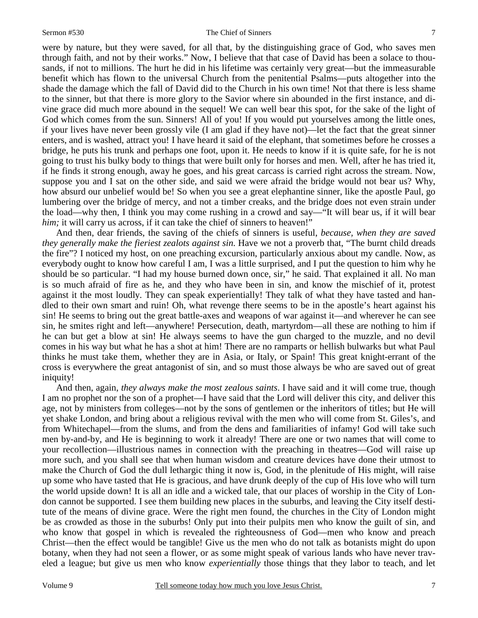were by nature, but they were saved, for all that, by the distinguishing grace of God, who saves men through faith, and not by their works." Now, I believe that that case of David has been a solace to thousands, if not to millions. The hurt he did in his lifetime was certainly very great—but the immeasurable benefit which has flown to the universal Church from the penitential Psalms—puts altogether into the shade the damage which the fall of David did to the Church in his own time! Not that there is less shame to the sinner, but that there is more glory to the Savior where sin abounded in the first instance, and divine grace did much more abound in the sequel! We can well bear this spot, for the sake of the light of God which comes from the sun. Sinners! All of you! If you would put yourselves among the little ones, if your lives have never been grossly vile (I am glad if they have not)—let the fact that the great sinner enters, and is washed, attract you! I have heard it said of the elephant, that sometimes before he crosses a bridge, he puts his trunk and perhaps one foot, upon it. He needs to know if it is quite safe, for he is not going to trust his bulky body to things that were built only for horses and men. Well, after he has tried it, if he finds it strong enough, away he goes, and his great carcass is carried right across the stream. Now, suppose you and I sat on the other side, and said we were afraid the bridge would not bear us? Why, how absurd our unbelief would be! So when you see a great elephantine sinner, like the apostle Paul, go lumbering over the bridge of mercy, and not a timber creaks, and the bridge does not even strain under the load—why then, I think you may come rushing in a crowd and say—"It will bear us, if it will bear *him*; it will carry us across, if it can take the chief of sinners to heaven!"

And then, dear friends, the saving of the chiefs of sinners is useful, *because, when they are saved they generally make the fieriest zealots against sin*. Have we not a proverb that, "The burnt child dreads the fire"? I noticed my host, on one preaching excursion, particularly anxious about my candle. Now, as everybody ought to know how careful I am, I was a little surprised, and I put the question to him why he should be so particular. "I had my house burned down once, sir," he said. That explained it all. No man is so much afraid of fire as he, and they who have been in sin, and know the mischief of it, protest against it the most loudly. They can speak experientially! They talk of what they have tasted and handled to their own smart and ruin! Oh, what revenge there seems to be in the apostle's heart against his sin! He seems to bring out the great battle-axes and weapons of war against it—and wherever he can see sin, he smites right and left—anywhere! Persecution, death, martyrdom—all these are nothing to him if he can but get a blow at sin! He always seems to have the gun charged to the muzzle, and no devil comes in his way but what he has a shot at him! There are no ramparts or hellish bulwarks but what Paul thinks he must take them, whether they are in Asia, or Italy, or Spain! This great knight-errant of the cross is everywhere the great antagonist of sin, and so must those always be who are saved out of great iniquity!

And then, again, *they always make the most zealous saints*. I have said and it will come true, though I am no prophet nor the son of a prophet—I have said that the Lord will deliver this city, and deliver this age, not by ministers from colleges—not by the sons of gentlemen or the inheritors of titles; but He will yet shake London, and bring about a religious revival with the men who will come from St. Giles's, and from Whitechapel—from the slums, and from the dens and familiarities of infamy! God will take such men by-and-by, and He is beginning to work it already! There are one or two names that will come to your recollection—illustrious names in connection with the preaching in theatres—God will raise up more such, and you shall see that when human wisdom and creature devices have done their utmost to make the Church of God the dull lethargic thing it now is, God, in the plenitude of His might, will raise up some who have tasted that He is gracious, and have drunk deeply of the cup of His love who will turn the world upside down! It is all an idle and a wicked tale, that our places of worship in the City of London cannot be supported. I see them building new places in the suburbs, and leaving the City itself destitute of the means of divine grace. Were the right men found, the churches in the City of London might be as crowded as those in the suburbs! Only put into their pulpits men who know the guilt of sin, and who know that gospel in which is revealed the righteousness of God—men who know and preach Christ—then the effect would be tangible! Give us the men who do not talk as botanists might do upon botany, when they had not seen a flower, or as some might speak of various lands who have never traveled a league; but give us men who know *experientially* those things that they labor to teach, and let